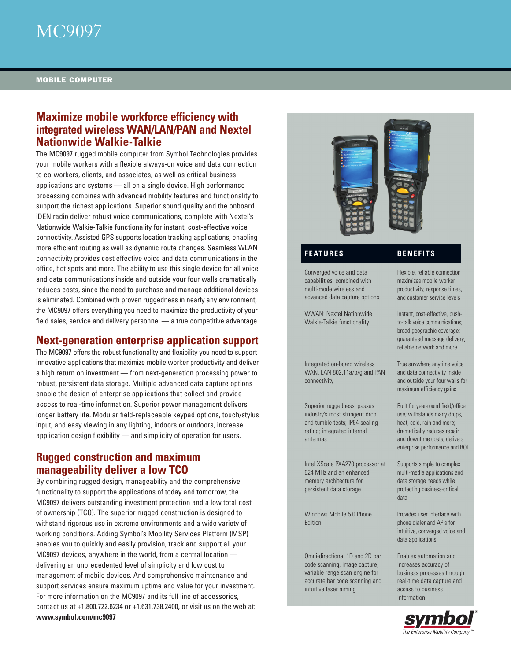

## **Maximize mobile workforce efficiency with integrated wireless WAN/LAN/PAN and Nextel Nationwide Walkie-Talkie**

The MC9097 rugged mobile computer from Symbol Technologies provides your mobile workers with a flexible always-on voice and data connection to co-workers, clients, and associates, as well as critical business applications and systems — all on a single device. High performance processing combines with advanced mobility features and functionality to support the richest applications. Superior sound quality and the onboard iDEN radio deliver robust voice communications, complete with Nextel's Nationwide Walkie-Talkie functionality for instant, cost-effective voice connectivity. Assisted GPS supports location tracking applications, enabling more efficient routing as well as dynamic route changes. Seamless WLAN connectivity provides cost effective voice and data communications in the office, hot spots and more. The ability to use this single device for all voice and data communications inside and outside your four walls dramatically reduces costs, since the need to purchase and manage additional devices is eliminated. Combined with proven ruggedness in nearly any environment, the MC9097 offers everything you need to maximize the productivity of your field sales, service and delivery personnel — a true competitive advantage.

## **Next-generation enterprise application support**

The MC9097 offers the robust functionality and flexibility you need to support innovative applications that maximize mobile worker productivity and deliver a high return on investment — from next-generation processing power to robust, persistent data storage. Multiple advanced data capture options enable the design of enterprise applications that collect and provide access to real-time information. Superior power management delivers longer battery life. Modular field-replaceable keypad options, touch/stylus input, and easy viewing in any lighting, indoors or outdoors, increase application design flexibility — and simplicity of operation for users.

## **Rugged construction and maximum manageability deliver a low TCO**

By combining rugged design, manageability and the comprehensive functionality to support the applications of today and tomorrow, the MC9097 delivers outstanding investment protection and a low total cost of ownership (TCO). The superior rugged construction is designed to withstand rigorous use in extreme environments and a wide variety of working conditions. Adding Symbol's Mobility Services Platform (MSP) enables you to quickly and easily provision, track and support all your MC9097 devices, anywhere in the world, from a central location delivering an unprecedented level of simplicity and low cost to management of mobile devices. And comprehensive maintenance and support services ensure maximum uptime and value for your investment. For more information on the MC9097 and its full line of accessories, contact us at +1.800.722.6234 or +1.631.738.2400, or visit us on the web at: **www.symbol.com/mc9097**



## **FEATURES BENEFITS**

Converged voice and data capabilities, combined with multi-mode wireless and advanced data capture options

WWAN: Nextel Nationwide Walkie-Talkie functionality

Integrated on-board wireless WAN, LAN 802.11a/b/g and PAN connectivity

Superior ruggedness: passes industry's most stringent drop and tumble tests; IP64 sealing rating; integrated internal antennas

Intel XScale PXA270 processor at 624 MHz and an enhanced memory architecture for persistent data storage

Windows Mobile 5.0 Phone Edition

Omni-directional 1D and 2D bar code scanning, image capture, variable range scan engine for accurate bar code scanning and intuitive laser aiming

Flexible, reliable connection maximizes mobile worker productivity, response times, and customer service levels

Instant, cost-effective, pushto-talk voice communications; broad geographic coverage; guaranteed message delivery; reliable network and more

True anywhere anytime voice and data connectivity inside and outside your four walls for maximum efficiency gains

Built for year-round field/office use; withstands many drops, heat, cold, rain and more; dramatically reduces repair and downtime costs; delivers enterprise performance and ROI

Supports simple to complex multi-media applications and data storage needs while protecting business-critical data

Provides user interface with phone dialer and APIs for intuitive, converged voice and data applications

Enables automation and increases accuracy of business processes through real-time data capture and access to business information